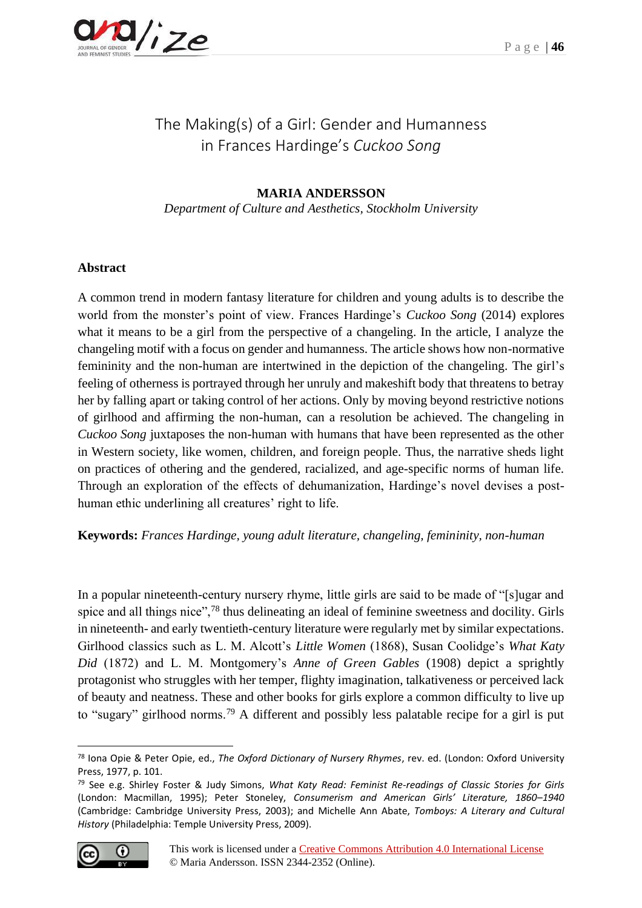# The Making(s) of a Girl: Gender and Humanness in Frances Hardinge's *Cuckoo Song*

# **MARIA ANDERSSON**

*Department of Culture and Aesthetics, Stockholm University*

### **Abstract**

A common trend in modern fantasy literature for children and young adults is to describe the world from the monster's point of view. Frances Hardinge's *Cuckoo Song* (2014) explores what it means to be a girl from the perspective of a changeling. In the article, I analyze the changeling motif with a focus on gender and humanness. The article shows how non-normative femininity and the non-human are intertwined in the depiction of the changeling. The girl's feeling of otherness is portrayed through her unruly and makeshift body that threatens to betray her by falling apart or taking control of her actions. Only by moving beyond restrictive notions of girlhood and affirming the non-human, can a resolution be achieved. The changeling in *Cuckoo Song* juxtaposes the non-human with humans that have been represented as the other in Western society, like women, children, and foreign people. Thus, the narrative sheds light on practices of othering and the gendered, racialized, and age-specific norms of human life. Through an exploration of the effects of dehumanization, Hardinge's novel devises a posthuman ethic underlining all creatures' right to life.

#### **Keywords:** *Frances Hardinge, young adult literature, changeling, femininity, non-human*

In a popular nineteenth-century nursery rhyme, little girls are said to be made of "[s]ugar and spice and all things nice",<sup>78</sup> thus delineating an ideal of feminine sweetness and docility. Girls in nineteenth- and early twentieth-century literature were regularly met by similar expectations. Girlhood classics such as L. M. Alcott's *Little Women* (1868), Susan Coolidge's *What Katy Did* (1872) and L. M. Montgomery's *Anne of Green Gables* (1908) depict a sprightly protagonist who struggles with her temper, flighty imagination, talkativeness or perceived lack of beauty and neatness. These and other books for girls explore a common difficulty to live up to "sugary" girlhood norms.<sup>79</sup> A different and possibly less palatable recipe for a girl is put

<sup>79</sup> See e.g. Shirley Foster & Judy Simons, *What Katy Read: Feminist Re-readings of Classic Stories for Girls* (London: Macmillan, 1995); Peter Stoneley, *Consumerism and American Girls' Literature, 1860*–*1940* (Cambridge: Cambridge University Press, 2003); and Michelle Ann Abate, *Tomboys: A Literary and Cultural History* (Philadelphia: Temple University Press, 2009).



<sup>78</sup> Iona Opie & Peter Opie, ed., *The Oxford Dictionary of Nursery Rhymes*, rev. ed. (London: Oxford University Press, 1977, p. 101.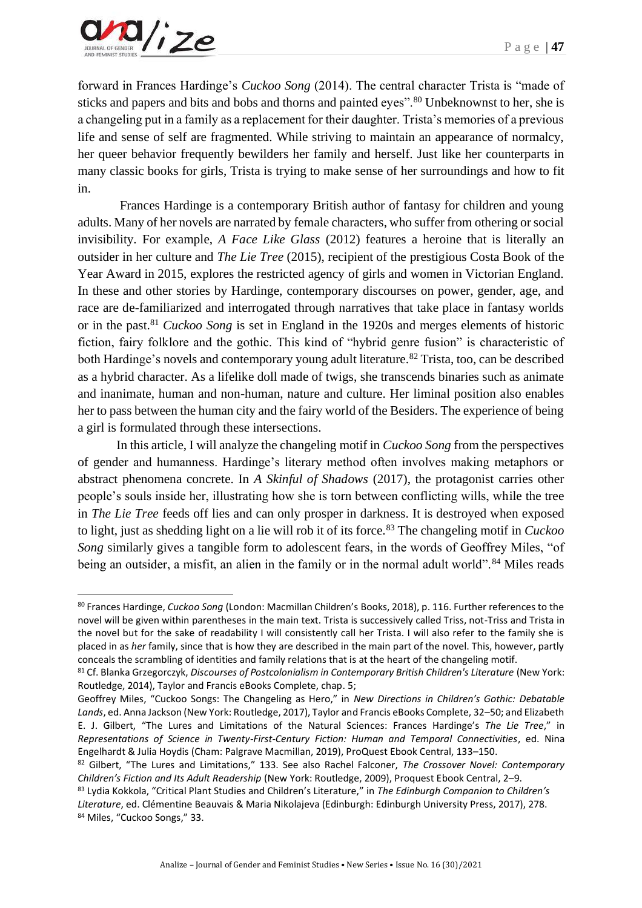

forward in Frances Hardinge's *Cuckoo Song* (2014). The central character Trista is "made of sticks and papers and bits and bobs and thorns and painted eyes".<sup>80</sup> Unbeknownst to her, she is a changeling put in a family as a replacement for their daughter. Trista's memories of a previous life and sense of self are fragmented. While striving to maintain an appearance of normalcy, her queer behavior frequently bewilders her family and herself. Just like her counterparts in many classic books for girls, Trista is trying to make sense of her surroundings and how to fit in.

Frances Hardinge is a contemporary British author of fantasy for children and young adults. Many of her novels are narrated by female characters, who suffer from othering or social invisibility. For example, *A Face Like Glass* (2012) features a heroine that is literally an outsider in her culture and *The Lie Tree* (2015), recipient of the prestigious Costa Book of the Year Award in 2015, explores the restricted agency of girls and women in Victorian England. In these and other stories by Hardinge, contemporary discourses on power, gender, age, and race are de-familiarized and interrogated through narratives that take place in fantasy worlds or in the past.<sup>81</sup> *Cuckoo Song* is set in England in the 1920s and merges elements of historic fiction, fairy folklore and the gothic. This kind of "hybrid genre fusion" is characteristic of both Hardinge's novels and contemporary young adult literature.<sup>82</sup> Trista, too, can be described as a hybrid character. As a lifelike doll made of twigs, she transcends binaries such as animate and inanimate, human and non-human, nature and culture. Her liminal position also enables her to pass between the human city and the fairy world of the Besiders. The experience of being a girl is formulated through these intersections.

In this article, I will analyze the changeling motif in *Cuckoo Song* from the perspectives of gender and humanness. Hardinge's literary method often involves making metaphors or abstract phenomena concrete. In *A Skinful of Shadows* (2017), the protagonist carries other people's souls inside her, illustrating how she is torn between conflicting wills, while the tree in *The Lie Tree* feeds off lies and can only prosper in darkness. It is destroyed when exposed to light, just as shedding light on a lie will rob it of its force.<sup>83</sup> The changeling motif in *Cuckoo Song* similarly gives a tangible form to adolescent fears, in the words of Geoffrey Miles, "of being an outsider, a misfit, an alien in the family or in the normal adult world".<sup>84</sup> Miles reads

<sup>80</sup> Frances Hardinge, *Cuckoo Song* (London: Macmillan Children's Books, 2018), p. 116. Further references to the novel will be given within parentheses in the main text. Trista is successively called Triss, not-Triss and Trista in the novel but for the sake of readability I will consistently call her Trista. I will also refer to the family she is placed in as *her* family, since that is how they are described in the main part of the novel. This, however, partly conceals the scrambling of identities and family relations that is at the heart of the changeling motif.

<sup>81</sup> Cf. Blanka Grzegorczyk, *Discourses of Postcolonialism in Contemporary British Children's Literature* (New York: Routledge, 2014), Taylor and Francis eBooks Complete, chap. 5;

Geoffrey Miles, "Cuckoo Songs: The Changeling as Hero," in *New Directions in Children's Gothic: Debatable Lands*, ed. Anna Jackson (New York: Routledge, 2017), Taylor and Francis eBooks Complete, 32–50; and Elizabeth E. J. Gilbert, "The Lures and Limitations of the Natural Sciences: Frances Hardinge's *The Lie Tree*," in *Representations of Science in Twenty-First-Century Fiction: Human and Temporal Connectivities*, ed. Nina Engelhardt & Julia Hoydis (Cham: Palgrave Macmillan, 2019), ProQuest Ebook Central, 133–150.

<sup>82</sup> Gilbert, "The Lures and Limitations," 133. See also Rachel Falconer, *The Crossover Novel: Contemporary Children's Fiction and Its Adult Readership* (New York: Routledge, 2009), Proquest Ebook Central, 2–9.

<sup>83</sup> Lydia Kokkola, "Critical Plant Studies and Children's Literature," in *The Edinburgh Companion to Children's Literature*, ed. Clémentine Beauvais & Maria Nikolajeva (Edinburgh: Edinburgh University Press, 2017), 278. 84 Miles, "Cuckoo Songs," 33.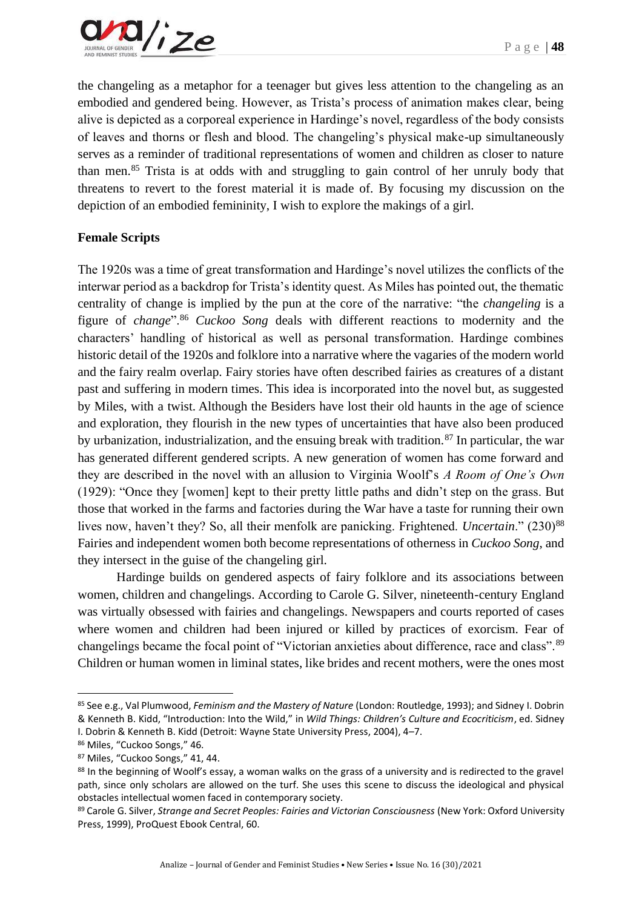

the changeling as a metaphor for a teenager but gives less attention to the changeling as an embodied and gendered being. However, as Trista's process of animation makes clear, being alive is depicted as a corporeal experience in Hardinge's novel, regardless of the body consists of leaves and thorns or flesh and blood. The changeling's physical make-up simultaneously serves as a reminder of traditional representations of women and children as closer to nature than men.<sup>85</sup> Trista is at odds with and struggling to gain control of her unruly body that threatens to revert to the forest material it is made of. By focusing my discussion on the depiction of an embodied femininity, I wish to explore the makings of a girl.

## **Female Scripts**

The 1920s was a time of great transformation and Hardinge's novel utilizes the conflicts of the interwar period as a backdrop for Trista's identity quest. As Miles has pointed out, the thematic centrality of change is implied by the pun at the core of the narrative: "the *changeling* is a figure of *change*".<sup>86</sup> *Cuckoo Song* deals with different reactions to modernity and the characters' handling of historical as well as personal transformation. Hardinge combines historic detail of the 1920s and folklore into a narrative where the vagaries of the modern world and the fairy realm overlap. Fairy stories have often described fairies as creatures of a distant past and suffering in modern times. This idea is incorporated into the novel but, as suggested by Miles, with a twist. Although the Besiders have lost their old haunts in the age of science and exploration, they flourish in the new types of uncertainties that have also been produced by urbanization, industrialization, and the ensuing break with tradition.<sup>87</sup> In particular, the war has generated different gendered scripts. A new generation of women has come forward and they are described in the novel with an allusion to Virginia Woolf's *A Room of One's Own* (1929): "Once they [women] kept to their pretty little paths and didn't step on the grass. But those that worked in the farms and factories during the War have a taste for running their own lives now, haven't they? So, all their menfolk are panicking. Frightened. *Uncertain*." (230)<sup>88</sup> Fairies and independent women both become representations of otherness in *Cuckoo Song*, and they intersect in the guise of the changeling girl.

Hardinge builds on gendered aspects of fairy folklore and its associations between women, children and changelings. According to Carole G. Silver, nineteenth-century England was virtually obsessed with fairies and changelings. Newspapers and courts reported of cases where women and children had been injured or killed by practices of exorcism. Fear of changelings became the focal point of "Victorian anxieties about difference, race and class".<sup>89</sup> Children or human women in liminal states, like brides and recent mothers, were the ones most

<sup>85</sup> See e.g., Val Plumwood, *Feminism and the Mastery of Nature* (London: Routledge, 1993); and Sidney I. Dobrin & Kenneth B. Kidd, "Introduction: Into the Wild," in *Wild Things: Children's Culture and Ecocriticism*, ed. Sidney I. Dobrin & Kenneth B. Kidd (Detroit: Wayne State University Press, 2004), 4–7.

<sup>86</sup> Miles, "Cuckoo Songs," 46.

<sup>87</sup> Miles, "Cuckoo Songs," 41, 44.

<sup>88</sup> In the beginning of Woolf's essay, a woman walks on the grass of a university and is redirected to the gravel path, since only scholars are allowed on the turf. She uses this scene to discuss the ideological and physical obstacles intellectual women faced in contemporary society.

<sup>89</sup> Carole G. Silver, *Strange and Secret Peoples: Fairies and Victorian Consciousness* (New York: Oxford University Press, 1999), ProQuest Ebook Central, 60.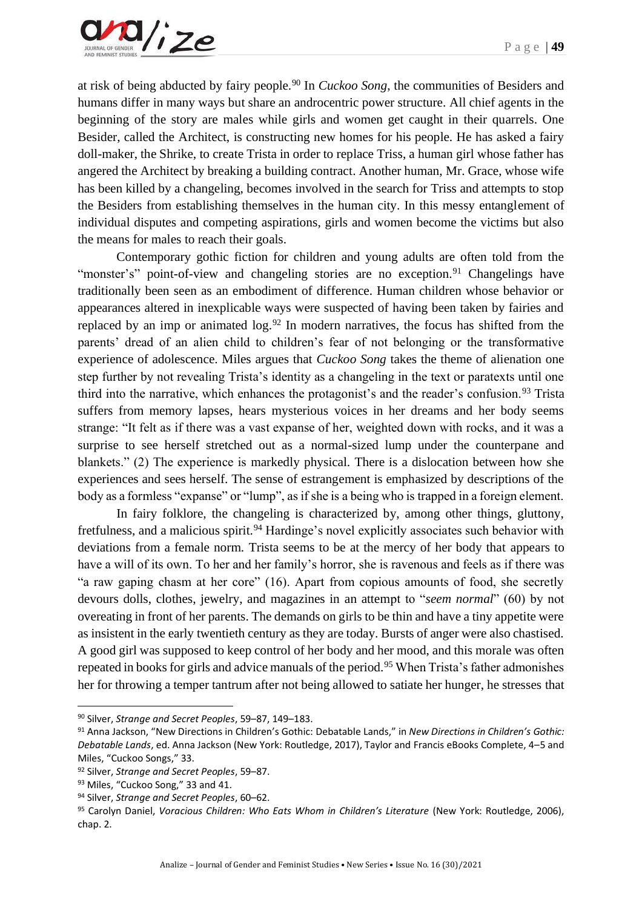at risk of being abducted by fairy people.<sup>90</sup> In *Cuckoo Song*, the communities of Besiders and humans differ in many ways but share an androcentric power structure. All chief agents in the beginning of the story are males while girls and women get caught in their quarrels. One Besider, called the Architect, is constructing new homes for his people. He has asked a fairy doll-maker, the Shrike, to create Trista in order to replace Triss, a human girl whose father has angered the Architect by breaking a building contract. Another human, Mr. Grace, whose wife has been killed by a changeling, becomes involved in the search for Triss and attempts to stop the Besiders from establishing themselves in the human city. In this messy entanglement of individual disputes and competing aspirations, girls and women become the victims but also the means for males to reach their goals.

Contemporary gothic fiction for children and young adults are often told from the "monster's" point-of-view and changeling stories are no exception.<sup>91</sup> Changelings have traditionally been seen as an embodiment of difference. Human children whose behavior or appearances altered in inexplicable ways were suspected of having been taken by fairies and replaced by an imp or animated log.<sup>92</sup> In modern narratives, the focus has shifted from the parents' dread of an alien child to children's fear of not belonging or the transformative experience of adolescence. Miles argues that *Cuckoo Song* takes the theme of alienation one step further by not revealing Trista's identity as a changeling in the text or paratexts until one third into the narrative, which enhances the protagonist's and the reader's confusion.<sup>93</sup> Trista suffers from memory lapses, hears mysterious voices in her dreams and her body seems strange: "It felt as if there was a vast expanse of her, weighted down with rocks, and it was a surprise to see herself stretched out as a normal-sized lump under the counterpane and blankets." (2) The experience is markedly physical. There is a dislocation between how she experiences and sees herself. The sense of estrangement is emphasized by descriptions of the body as a formless "expanse" or "lump", as if she is a being who is trapped in a foreign element.

In fairy folklore, the changeling is characterized by, among other things, gluttony, fretfulness, and a malicious spirit.<sup>94</sup> Hardinge's novel explicitly associates such behavior with deviations from a female norm. Trista seems to be at the mercy of her body that appears to have a will of its own. To her and her family's horror, she is ravenous and feels as if there was "a raw gaping chasm at her core" (16). Apart from copious amounts of food, she secretly devours dolls, clothes, jewelry, and magazines in an attempt to "*seem normal*" (60) by not overeating in front of her parents. The demands on girls to be thin and have a tiny appetite were as insistent in the early twentieth century as they are today. Bursts of anger were also chastised. A good girl was supposed to keep control of her body and her mood, and this morale was often repeated in books for girls and advice manuals of the period.<sup>95</sup> When Trista's father admonishes her for throwing a temper tantrum after not being allowed to satiate her hunger, he stresses that

<sup>90</sup> Silver, *Strange and Secret Peoples*, 59–87, 149–183.

<sup>91</sup> Anna Jackson, "New Directions in Children's Gothic: Debatable Lands," in *New Directions in Children's Gothic: Debatable Lands*, ed. Anna Jackson (New York: Routledge, 2017), Taylor and Francis eBooks Complete, 4–5 and Miles, "Cuckoo Songs," 33.

<sup>92</sup> Silver, *Strange and Secret Peoples*, 59–87.

<sup>93</sup> Miles, "Cuckoo Song," 33 and 41.

<sup>94</sup> Silver, *Strange and Secret Peoples*, 60–62.

<sup>95</sup> Carolyn Daniel, *Voracious Children: Who Eats Whom in Children's Literature* (New York: Routledge, 2006), chap. 2.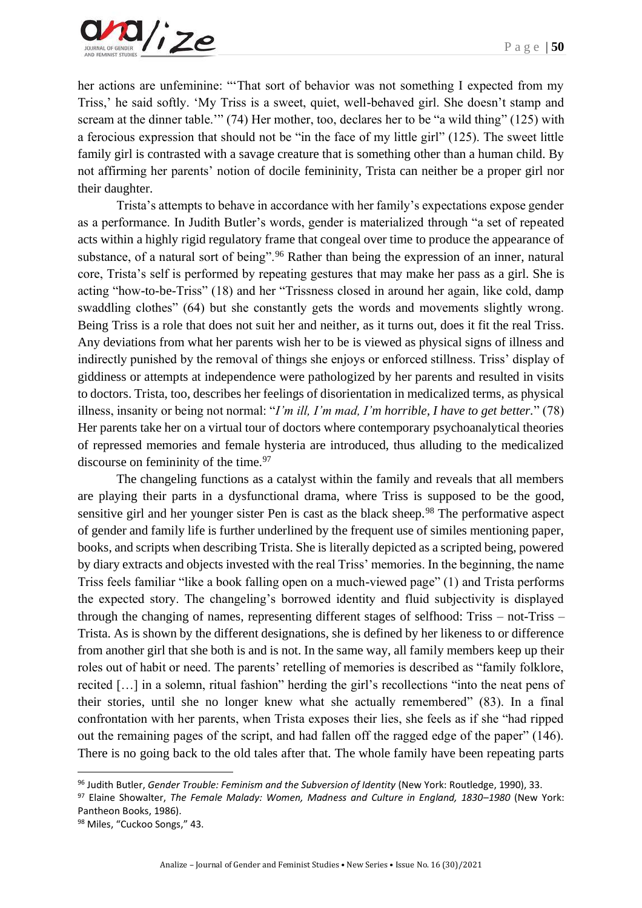

her actions are unfeminine: "'That sort of behavior was not something I expected from my Triss,' he said softly. 'My Triss is a sweet, quiet, well-behaved girl. She doesn't stamp and scream at the dinner table.'" (74) Her mother, too, declares her to be "a wild thing" (125) with a ferocious expression that should not be "in the face of my little girl" (125). The sweet little family girl is contrasted with a savage creature that is something other than a human child. By not affirming her parents' notion of docile femininity, Trista can neither be a proper girl nor their daughter.

Trista's attempts to behave in accordance with her family's expectations expose gender as a performance. In Judith Butler's words, gender is materialized through "a set of repeated acts within a highly rigid regulatory frame that congeal over time to produce the appearance of substance, of a natural sort of being".<sup>96</sup> Rather than being the expression of an inner, natural core, Trista's self is performed by repeating gestures that may make her pass as a girl. She is acting "how-to-be-Triss" (18) and her "Trissness closed in around her again, like cold, damp swaddling clothes" (64) but she constantly gets the words and movements slightly wrong. Being Triss is a role that does not suit her and neither, as it turns out, does it fit the real Triss. Any deviations from what her parents wish her to be is viewed as physical signs of illness and indirectly punished by the removal of things she enjoys or enforced stillness. Triss' display of giddiness or attempts at independence were pathologized by her parents and resulted in visits to doctors. Trista, too, describes her feelings of disorientation in medicalized terms, as physical illness, insanity or being not normal: "*I'm ill, I'm mad, I'm horrible, I have to get better.*" (78) Her parents take her on a virtual tour of doctors where contemporary psychoanalytical theories of repressed memories and female hysteria are introduced, thus alluding to the medicalized discourse on femininity of the time.<sup>97</sup>

The changeling functions as a catalyst within the family and reveals that all members are playing their parts in a dysfunctional drama, where Triss is supposed to be the good, sensitive girl and her younger sister Pen is cast as the black sheep.<sup>98</sup> The performative aspect of gender and family life is further underlined by the frequent use of similes mentioning paper, books, and scripts when describing Trista. She is literally depicted as a scripted being, powered by diary extracts and objects invested with the real Triss' memories. In the beginning, the name Triss feels familiar "like a book falling open on a much-viewed page" (1) and Trista performs the expected story. The changeling's borrowed identity and fluid subjectivity is displayed through the changing of names, representing different stages of selfhood: Triss – not-Triss – Trista. As is shown by the different designations, she is defined by her likeness to or difference from another girl that she both is and is not. In the same way, all family members keep up their roles out of habit or need. The parents' retelling of memories is described as "family folklore, recited […] in a solemn, ritual fashion" herding the girl's recollections "into the neat pens of their stories, until she no longer knew what she actually remembered" (83). In a final confrontation with her parents, when Trista exposes their lies, she feels as if she "had ripped out the remaining pages of the script, and had fallen off the ragged edge of the paper" (146). There is no going back to the old tales after that. The whole family have been repeating parts

<sup>96</sup> Judith Butler, *Gender Trouble: Feminism and the Subversion of Identity* (New York: Routledge, 1990), 33.

<sup>97</sup> Elaine Showalter, *The Female Malady: Women, Madness and Culture in England, 1830*–*1980* (New York: Pantheon Books, 1986).

<sup>98</sup> Miles, "Cuckoo Songs," 43.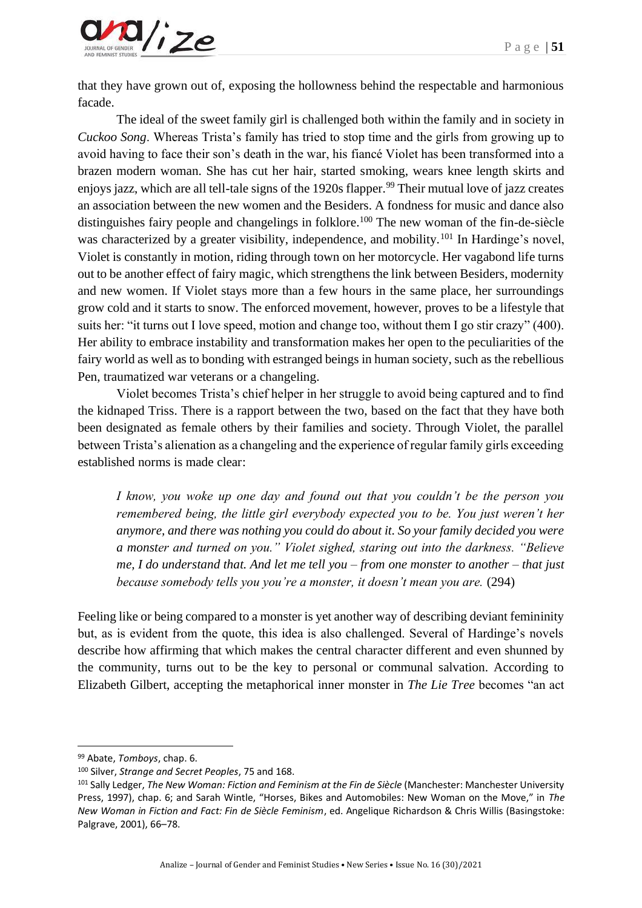

that they have grown out of, exposing the hollowness behind the respectable and harmonious facade.

The ideal of the sweet family girl is challenged both within the family and in society in *Cuckoo Song*. Whereas Trista's family has tried to stop time and the girls from growing up to avoid having to face their son's death in the war, his fiancé Violet has been transformed into a brazen modern woman. She has cut her hair, started smoking, wears knee length skirts and enjoys jazz, which are all tell-tale signs of the 1920s flapper.<sup>99</sup> Their mutual love of jazz creates an association between the new women and the Besiders. A fondness for music and dance also distinguishes fairy people and changelings in folklore.<sup>100</sup> The new woman of the fin-de-siècle was characterized by a greater visibility, independence, and mobility.<sup>101</sup> In Hardinge's novel, Violet is constantly in motion, riding through town on her motorcycle. Her vagabond life turns out to be another effect of fairy magic, which strengthens the link between Besiders, modernity and new women. If Violet stays more than a few hours in the same place, her surroundings grow cold and it starts to snow. The enforced movement, however, proves to be a lifestyle that suits her: "it turns out I love speed, motion and change too, without them I go stir crazy" (400). Her ability to embrace instability and transformation makes her open to the peculiarities of the fairy world as well as to bonding with estranged beings in human society, such as the rebellious Pen, traumatized war veterans or a changeling.

Violet becomes Trista's chief helper in her struggle to avoid being captured and to find the kidnaped Triss. There is a rapport between the two, based on the fact that they have both been designated as female others by their families and society. Through Violet, the parallel between Trista's alienation as a changeling and the experience of regular family girls exceeding established norms is made clear:

*I know, you woke up one day and found out that you couldn't be the person you remembered being, the little girl everybody expected you to be. You just weren't her anymore, and there was nothing you could do about it. So your family decided you were a monster and turned on you." Violet sighed, staring out into the darkness. "Believe me, I do understand that. And let me tell you – from one monster to another – that just because somebody tells you you're a monster, it doesn't mean you are.* (294)

Feeling like or being compared to a monster is yet another way of describing deviant femininity but, as is evident from the quote, this idea is also challenged. Several of Hardinge's novels describe how affirming that which makes the central character different and even shunned by the community, turns out to be the key to personal or communal salvation. According to Elizabeth Gilbert, accepting the metaphorical inner monster in *The Lie Tree* becomes "an act

<sup>99</sup> Abate, *Tomboys*, chap. 6.

<sup>100</sup> Silver, *Strange and Secret Peoples*, 75 and 168.

<sup>101</sup> Sally Ledger, *The New Woman: Fiction and Feminism at the Fin de Siècle* (Manchester: Manchester University Press, 1997), chap. 6; and Sarah Wintle, "Horses, Bikes and Automobiles: New Woman on the Move," in *The New Woman in Fiction and Fact: Fin de Siècle Feminism*, ed. Angelique Richardson & Chris Willis (Basingstoke: Palgrave, 2001), 66–78.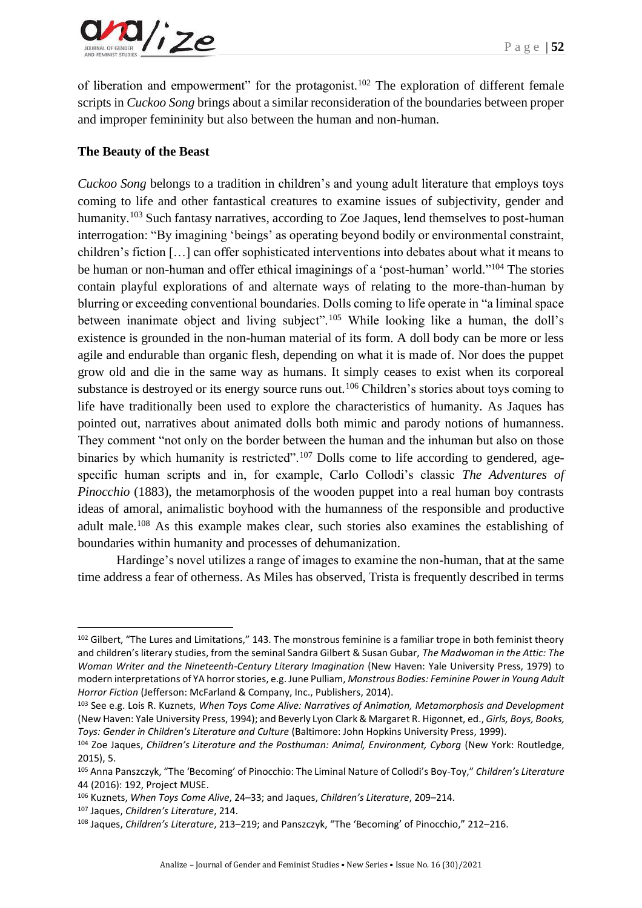

of liberation and empowerment" for the protagonist.<sup>102</sup> The exploration of different female scripts in *Cuckoo Song* brings about a similar reconsideration of the boundaries between proper and improper femininity but also between the human and non-human.

### **The Beauty of the Beast**

*Cuckoo Song* belongs to a tradition in children's and young adult literature that employs toys coming to life and other fantastical creatures to examine issues of subjectivity, gender and humanity.<sup>103</sup> Such fantasy narratives, according to Zoe Jaques, lend themselves to post-human interrogation: "By imagining 'beings' as operating beyond bodily or environmental constraint, children's fiction […] can offer sophisticated interventions into debates about what it means to be human or non-human and offer ethical imaginings of a 'post-human' world."<sup>104</sup> The stories contain playful explorations of and alternate ways of relating to the more-than-human by blurring or exceeding conventional boundaries. Dolls coming to life operate in "a liminal space between inanimate object and living subject".<sup>105</sup> While looking like a human, the doll's existence is grounded in the non-human material of its form. A doll body can be more or less agile and endurable than organic flesh, depending on what it is made of. Nor does the puppet grow old and die in the same way as humans. It simply ceases to exist when its corporeal substance is destroyed or its energy source runs out.<sup>106</sup> Children's stories about toys coming to life have traditionally been used to explore the characteristics of humanity. As Jaques has pointed out, narratives about animated dolls both mimic and parody notions of humanness. They comment "not only on the border between the human and the inhuman but also on those binaries by which humanity is restricted".<sup>107</sup> Dolls come to life according to gendered, agespecific human scripts and in, for example, Carlo Collodi's classic *The Adventures of Pinocchio* (1883), the metamorphosis of the wooden puppet into a real human boy contrasts ideas of amoral, animalistic boyhood with the humanness of the responsible and productive adult male.<sup>108</sup> As this example makes clear, such stories also examines the establishing of boundaries within humanity and processes of dehumanization.

Hardinge's novel utilizes a range of images to examine the non-human, that at the same time address a fear of otherness. As Miles has observed, Trista is frequently described in terms

<sup>102</sup> Gilbert, "The Lures and Limitations," 143. The monstrous feminine is a familiar trope in both feminist theory and children's literary studies, from the seminal Sandra Gilbert & Susan Gubar, *The Madwoman in the Attic: The Woman Writer and the Nineteenth-Century Literary Imagination* (New Haven: Yale University Press, 1979) to modern interpretations of YA horror stories, e.g. June Pulliam, *Monstrous Bodies: Feminine Power in Young Adult Horror Fiction* (Jefferson: McFarland & Company, Inc., Publishers, 2014).

<sup>103</sup> See e.g. Lois R. Kuznets, *When Toys Come Alive: Narratives of Animation, Metamorphosis and Development* (New Haven: Yale University Press, 1994); and Beverly Lyon Clark & Margaret R. Higonnet, ed., *Girls, Boys, Books, Toys: Gender in Children's Literature and Culture* (Baltimore: John Hopkins University Press, 1999).

<sup>&</sup>lt;sup>104</sup> Zoe Jaques, *Children's Literature and the Posthuman: Animal, Environment, Cyborg (New York: Routledge,* 2015), 5.

<sup>105</sup> Anna Panszczyk, "The 'Becoming' of Pinocchio: The Liminal Nature of Collodi's Boy-Toy," *Children's Literature* 44 (2016): 192, Project MUSE.

<sup>106</sup> Kuznets, *When Toys Come Alive*, 24–33; and Jaques, *Children's Literature*, 209–214.

<sup>107</sup> Jaques, *Children's Literature*, 214.

<sup>108</sup> Jaques, *Children's Literature*, 213–219; and Panszczyk, "The 'Becoming' of Pinocchio," 212–216.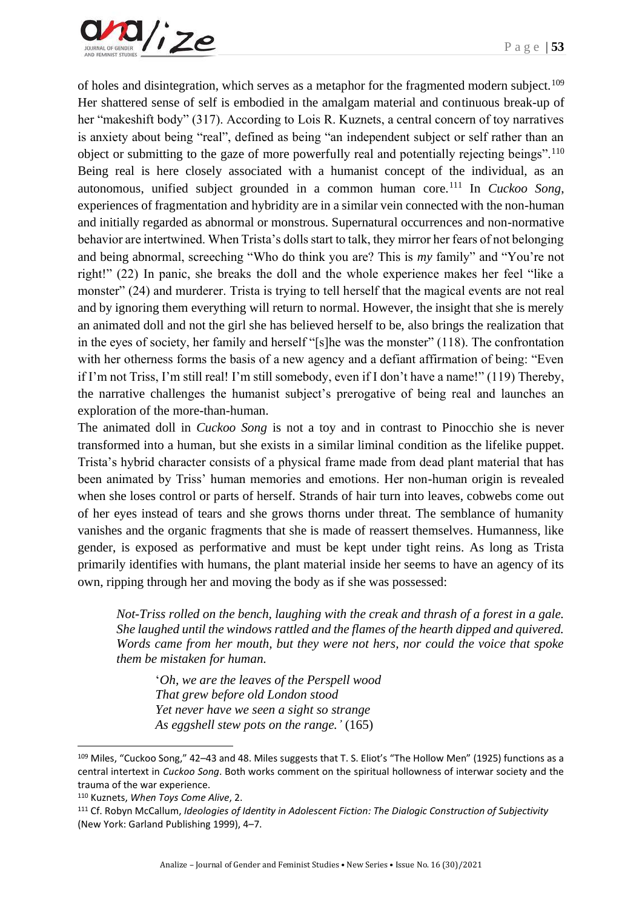

of holes and disintegration, which serves as a metaphor for the fragmented modern subject.<sup>109</sup> Her shattered sense of self is embodied in the amalgam material and continuous break-up of her "makeshift body" (317). According to Lois R. Kuznets, a central concern of toy narratives is anxiety about being "real", defined as being "an independent subject or self rather than an object or submitting to the gaze of more powerfully real and potentially rejecting beings".<sup>110</sup> Being real is here closely associated with a humanist concept of the individual, as an autonomous, unified subject grounded in a common human core.<sup>111</sup> In *Cuckoo Song*, experiences of fragmentation and hybridity are in a similar vein connected with the non-human and initially regarded as abnormal or monstrous. Supernatural occurrences and non-normative behavior are intertwined. When Trista's dolls start to talk, they mirror her fears of not belonging and being abnormal, screeching "Who do think you are? This is *my* family" and "You're not right!" (22) In panic, she breaks the doll and the whole experience makes her feel "like a monster" (24) and murderer. Trista is trying to tell herself that the magical events are not real and by ignoring them everything will return to normal. However, the insight that she is merely an animated doll and not the girl she has believed herself to be, also brings the realization that in the eyes of society, her family and herself "[s]he was the monster" (118). The confrontation with her otherness forms the basis of a new agency and a defiant affirmation of being: "Even if I'm not Triss, I'm still real! I'm still somebody, even if I don't have a name!" (119) Thereby, the narrative challenges the humanist subject's prerogative of being real and launches an exploration of the more-than-human.

The animated doll in *Cuckoo Song* is not a toy and in contrast to Pinocchio she is never transformed into a human, but she exists in a similar liminal condition as the lifelike puppet. Trista's hybrid character consists of a physical frame made from dead plant material that has been animated by Triss' human memories and emotions. Her non-human origin is revealed when she loses control or parts of herself. Strands of hair turn into leaves, cobwebs come out of her eyes instead of tears and she grows thorns under threat. The semblance of humanity vanishes and the organic fragments that she is made of reassert themselves. Humanness, like gender, is exposed as performative and must be kept under tight reins. As long as Trista primarily identifies with humans, the plant material inside her seems to have an agency of its own, ripping through her and moving the body as if she was possessed:

*Not-Triss rolled on the bench, laughing with the creak and thrash of a forest in a gale. She laughed until the windows rattled and the flames of the hearth dipped and quivered. Words came from her mouth, but they were not hers, nor could the voice that spoke them be mistaken for human.*

'*Oh, we are the leaves of the Perspell wood That grew before old London stood Yet never have we seen a sight so strange As eggshell stew pots on the range.'* (165)

<sup>109</sup> Miles, "Cuckoo Song," 42–43 and 48. Miles suggests that T. S. Eliot's "The Hollow Men" (1925) functions as a central intertext in *Cuckoo Song*. Both works comment on the spiritual hollowness of interwar society and the trauma of the war experience.

<sup>110</sup> Kuznets, *When Toys Come Alive*, 2.

<sup>111</sup> Cf. Robyn McCallum, *Ideologies of Identity in Adolescent Fiction: The Dialogic Construction of Subjectivity* (New York: Garland Publishing 1999), 4–7.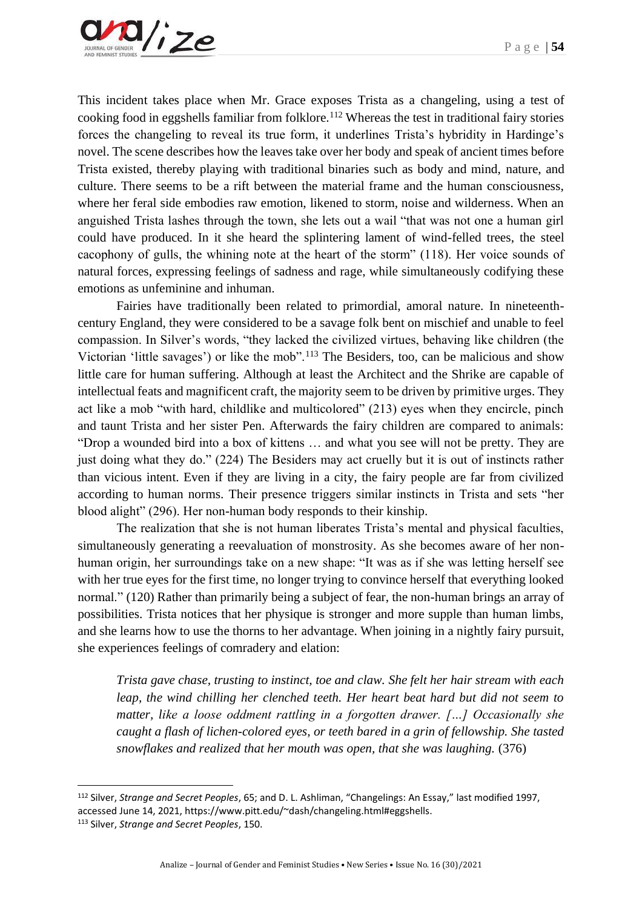This incident takes place when Mr. Grace exposes Trista as a changeling, using a test of cooking food in eggshells familiar from folklore.<sup>112</sup> Whereas the test in traditional fairy stories forces the changeling to reveal its true form, it underlines Trista's hybridity in Hardinge's novel. The scene describes how the leaves take over her body and speak of ancient times before Trista existed, thereby playing with traditional binaries such as body and mind, nature, and culture. There seems to be a rift between the material frame and the human consciousness, where her feral side embodies raw emotion, likened to storm, noise and wilderness. When an anguished Trista lashes through the town, she lets out a wail "that was not one a human girl could have produced. In it she heard the splintering lament of wind-felled trees, the steel cacophony of gulls, the whining note at the heart of the storm" (118). Her voice sounds of natural forces, expressing feelings of sadness and rage, while simultaneously codifying these emotions as unfeminine and inhuman.

Fairies have traditionally been related to primordial, amoral nature. In nineteenthcentury England, they were considered to be a savage folk bent on mischief and unable to feel compassion. In Silver's words, "they lacked the civilized virtues, behaving like children (the Victorian 'little savages') or like the mob".<sup>113</sup> The Besiders, too, can be malicious and show little care for human suffering. Although at least the Architect and the Shrike are capable of intellectual feats and magnificent craft, the majority seem to be driven by primitive urges. They act like a mob "with hard, childlike and multicolored" (213) eyes when they encircle, pinch and taunt Trista and her sister Pen. Afterwards the fairy children are compared to animals: "Drop a wounded bird into a box of kittens … and what you see will not be pretty. They are just doing what they do." (224) The Besiders may act cruelly but it is out of instincts rather than vicious intent. Even if they are living in a city, the fairy people are far from civilized according to human norms. Their presence triggers similar instincts in Trista and sets "her blood alight" (296). Her non-human body responds to their kinship.

The realization that she is not human liberates Trista's mental and physical faculties, simultaneously generating a reevaluation of monstrosity. As she becomes aware of her nonhuman origin, her surroundings take on a new shape: "It was as if she was letting herself see with her true eyes for the first time, no longer trying to convince herself that everything looked normal." (120) Rather than primarily being a subject of fear, the non-human brings an array of possibilities. Trista notices that her physique is stronger and more supple than human limbs, and she learns how to use the thorns to her advantage. When joining in a nightly fairy pursuit, she experiences feelings of comradery and elation:

*Trista gave chase, trusting to instinct, toe and claw. She felt her hair stream with each leap, the wind chilling her clenched teeth. Her heart beat hard but did not seem to matter, like a loose oddment rattling in a forgotten drawer. […] Occasionally she caught a flash of lichen-colored eyes, or teeth bared in a grin of fellowship. She tasted snowflakes and realized that her mouth was open, that she was laughing.* (376)

<sup>112</sup> Silver, *Strange and Secret Peoples*, 65; and D. L. Ashliman, "Changelings: An Essay," last modified 1997, accessed June 14, 2021, https://www.pitt.edu/~dash/changeling.html#eggshells.

<sup>113</sup> Silver, *Strange and Secret Peoples*, 150.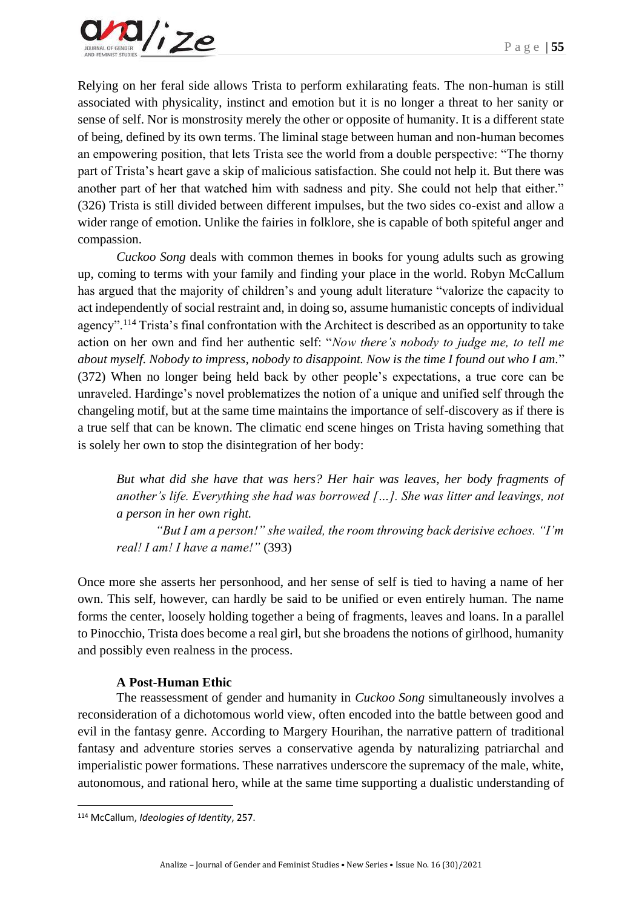Relying on her feral side allows Trista to perform exhilarating feats. The non-human is still associated with physicality, instinct and emotion but it is no longer a threat to her sanity or sense of self. Nor is monstrosity merely the other or opposite of humanity. It is a different state of being, defined by its own terms. The liminal stage between human and non-human becomes an empowering position, that lets Trista see the world from a double perspective: "The thorny part of Trista's heart gave a skip of malicious satisfaction. She could not help it. But there was another part of her that watched him with sadness and pity. She could not help that either." (326) Trista is still divided between different impulses, but the two sides co-exist and allow a wider range of emotion. Unlike the fairies in folklore, she is capable of both spiteful anger and compassion.

*Cuckoo Song* deals with common themes in books for young adults such as growing up, coming to terms with your family and finding your place in the world. Robyn McCallum has argued that the majority of children's and young adult literature "valorize the capacity to act independently of social restraint and, in doing so, assume humanistic concepts of individual agency".<sup>114</sup> Trista's final confrontation with the Architect is described as an opportunity to take action on her own and find her authentic self: "*Now there's nobody to judge me, to tell me about myself. Nobody to impress, nobody to disappoint. Now is the time I found out who I am.*" (372) When no longer being held back by other people's expectations, a true core can be unraveled. Hardinge's novel problematizes the notion of a unique and unified self through the changeling motif, but at the same time maintains the importance of self-discovery as if there is a true self that can be known. The climatic end scene hinges on Trista having something that is solely her own to stop the disintegration of her body:

*But what did she have that was hers? Her hair was leaves, her body fragments of another's life. Everything she had was borrowed […]. She was litter and leavings, not a person in her own right.*

*"But I am a person!" she wailed, the room throwing back derisive echoes. "I'm real! I am! I have a name!"* (393)

Once more she asserts her personhood, and her sense of self is tied to having a name of her own. This self, however, can hardly be said to be unified or even entirely human. The name forms the center, loosely holding together a being of fragments, leaves and loans. In a parallel to Pinocchio, Trista does become a real girl, but she broadens the notions of girlhood, humanity and possibly even realness in the process.

## **A Post-Human Ethic**

The reassessment of gender and humanity in *Cuckoo Song* simultaneously involves a reconsideration of a dichotomous world view, often encoded into the battle between good and evil in the fantasy genre. According to Margery Hourihan, the narrative pattern of traditional fantasy and adventure stories serves a conservative agenda by naturalizing patriarchal and imperialistic power formations. These narratives underscore the supremacy of the male, white, autonomous, and rational hero, while at the same time supporting a dualistic understanding of

<sup>114</sup> McCallum, *Ideologies of Identity*, 257.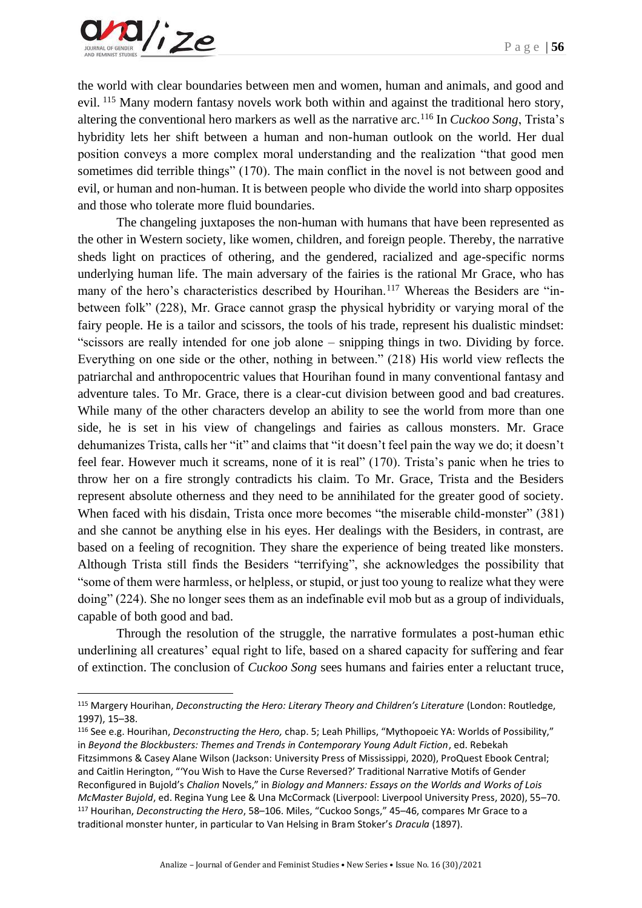

the world with clear boundaries between men and women, human and animals, and good and evil. <sup>115</sup> Many modern fantasy novels work both within and against the traditional hero story, altering the conventional hero markers as well as the narrative arc.<sup>116</sup> In *Cuckoo Song*, Trista's hybridity lets her shift between a human and non-human outlook on the world. Her dual position conveys a more complex moral understanding and the realization "that good men sometimes did terrible things" (170). The main conflict in the novel is not between good and evil, or human and non-human. It is between people who divide the world into sharp opposites and those who tolerate more fluid boundaries.

The changeling juxtaposes the non-human with humans that have been represented as the other in Western society, like women, children, and foreign people. Thereby, the narrative sheds light on practices of othering, and the gendered, racialized and age-specific norms underlying human life. The main adversary of the fairies is the rational Mr Grace, who has many of the hero's characteristics described by Hourihan.<sup>117</sup> Whereas the Besiders are "inbetween folk" (228), Mr. Grace cannot grasp the physical hybridity or varying moral of the fairy people. He is a tailor and scissors, the tools of his trade, represent his dualistic mindset: "scissors are really intended for one job alone – snipping things in two. Dividing by force. Everything on one side or the other, nothing in between." (218) His world view reflects the patriarchal and anthropocentric values that Hourihan found in many conventional fantasy and adventure tales. To Mr. Grace, there is a clear-cut division between good and bad creatures. While many of the other characters develop an ability to see the world from more than one side, he is set in his view of changelings and fairies as callous monsters. Mr. Grace dehumanizes Trista, calls her "it" and claims that "it doesn't feel pain the way we do; it doesn't feel fear. However much it screams, none of it is real" (170). Trista's panic when he tries to throw her on a fire strongly contradicts his claim. To Mr. Grace, Trista and the Besiders represent absolute otherness and they need to be annihilated for the greater good of society. When faced with his disdain, Trista once more becomes "the miserable child-monster" (381) and she cannot be anything else in his eyes. Her dealings with the Besiders, in contrast, are based on a feeling of recognition. They share the experience of being treated like monsters. Although Trista still finds the Besiders "terrifying", she acknowledges the possibility that "some of them were harmless, or helpless, or stupid, or just too young to realize what they were doing" (224). She no longer sees them as an indefinable evil mob but as a group of individuals, capable of both good and bad.

Through the resolution of the struggle, the narrative formulates a post-human ethic underlining all creatures' equal right to life, based on a shared capacity for suffering and fear of extinction. The conclusion of *Cuckoo Song* sees humans and fairies enter a reluctant truce,

<sup>115</sup> Margery Hourihan, *Deconstructing the Hero: Literary Theory and Children's Literature* (London: Routledge, 1997), 15–38.

<sup>116</sup> See e.g. Hourihan, *Deconstructing the Hero,* chap. 5; Leah Phillips, "Mythopoeic YA: Worlds of Possibility," in *Beyond the Blockbusters: Themes and Trends in Contemporary Young Adult Fiction*, ed. Rebekah Fitzsimmons & Casey Alane Wilson (Jackson: University Press of Mississippi, 2020), ProQuest Ebook Central; and Caitlin Herington, "'You Wish to Have the Curse Reversed?' Traditional Narrative Motifs of Gender Reconfigured in Bujold's *Chalion* Novels," in *Biology and Manners: Essays on the Worlds and Works of Lois McMaster Bujold*, ed. Regina Yung Lee & Una McCormack (Liverpool: Liverpool University Press, 2020), 55–70. <sup>117</sup> Hourihan, *Deconstructing the Hero*, 58–106. Miles, "Cuckoo Songs," 45–46, compares Mr Grace to a traditional monster hunter, in particular to Van Helsing in Bram Stoker's *Dracula* (1897).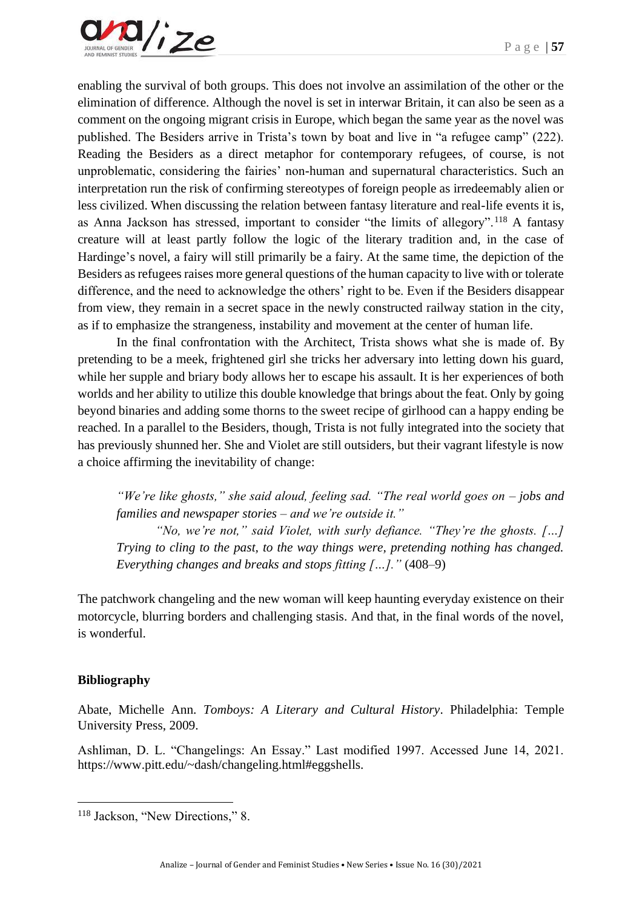

enabling the survival of both groups. This does not involve an assimilation of the other or the elimination of difference. Although the novel is set in interwar Britain, it can also be seen as a comment on the ongoing migrant crisis in Europe, which began the same year as the novel was published. The Besiders arrive in Trista's town by boat and live in "a refugee camp" (222). Reading the Besiders as a direct metaphor for contemporary refugees, of course, is not unproblematic, considering the fairies' non-human and supernatural characteristics. Such an interpretation run the risk of confirming stereotypes of foreign people as irredeemably alien or less civilized. When discussing the relation between fantasy literature and real-life events it is, as Anna Jackson has stressed, important to consider "the limits of allegory".<sup>118</sup> A fantasy creature will at least partly follow the logic of the literary tradition and, in the case of Hardinge's novel, a fairy will still primarily be a fairy. At the same time, the depiction of the Besiders as refugees raises more general questions of the human capacity to live with or tolerate difference, and the need to acknowledge the others' right to be. Even if the Besiders disappear from view, they remain in a secret space in the newly constructed railway station in the city, as if to emphasize the strangeness, instability and movement at the center of human life.

In the final confrontation with the Architect, Trista shows what she is made of. By pretending to be a meek, frightened girl she tricks her adversary into letting down his guard, while her supple and briary body allows her to escape his assault. It is her experiences of both worlds and her ability to utilize this double knowledge that brings about the feat. Only by going beyond binaries and adding some thorns to the sweet recipe of girlhood can a happy ending be reached. In a parallel to the Besiders, though, Trista is not fully integrated into the society that has previously shunned her. She and Violet are still outsiders, but their vagrant lifestyle is now a choice affirming the inevitability of change:

*"We're like ghosts," she said aloud, feeling sad. "The real world goes on – jobs and families and newspaper stories – and we're outside it."*

*"No, we're not," said Violet, with surly defiance. "They're the ghosts. […] Trying to cling to the past, to the way things were, pretending nothing has changed. Everything changes and breaks and stops fitting […]."* (408–9)

The patchwork changeling and the new woman will keep haunting everyday existence on their motorcycle, blurring borders and challenging stasis. And that, in the final words of the novel, is wonderful.

#### **Bibliography**

Abate, Michelle Ann. *Tomboys: A Literary and Cultural History*. Philadelphia: Temple University Press, 2009.

Ashliman, D. L. "Changelings: An Essay." Last modified 1997. Accessed June 14, 2021. https://www.pitt.edu/~dash/changeling.html#eggshells.

<sup>118</sup> Jackson, "New Directions," 8.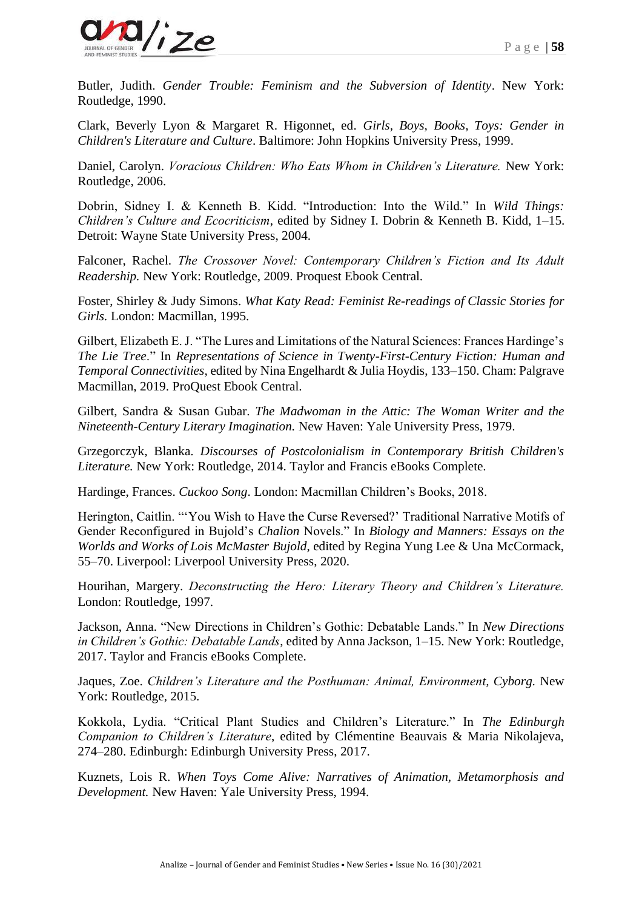

Butler, Judith. *Gender Trouble: Feminism and the Subversion of Identity*. New York: Routledge, 1990.

Clark, Beverly Lyon & Margaret R. Higonnet, ed. *Girls, Boys, Books, Toys: Gender in Children's Literature and Culture*. Baltimore: John Hopkins University Press, 1999.

Daniel, Carolyn. *Voracious Children: Who Eats Whom in Children's Literature.* New York: Routledge, 2006.

Dobrin, Sidney I. & Kenneth B. Kidd. "Introduction: Into the Wild." In *Wild Things: Children's Culture and Ecocriticism*, edited by Sidney I. Dobrin & Kenneth B. Kidd, 1–15. Detroit: Wayne State University Press, 2004.

Falconer, Rachel. *The Crossover Novel: Contemporary Children's Fiction and Its Adult Readership.* New York: Routledge, 2009. Proquest Ebook Central.

Foster, Shirley & Judy Simons. *What Katy Read: Feminist Re-readings of Classic Stories for Girls.* London: Macmillan, 1995.

Gilbert, Elizabeth E. J. "The Lures and Limitations of the Natural Sciences: Frances Hardinge's *The Lie Tree*." In *Representations of Science in Twenty-First-Century Fiction: Human and Temporal Connectivities*, edited by Nina Engelhardt & Julia Hoydis, 133–150. Cham: Palgrave Macmillan, 2019. ProQuest Ebook Central.

Gilbert, Sandra & Susan Gubar. *The Madwoman in the Attic: The Woman Writer and the Nineteenth-Century Literary Imagination.* New Haven: Yale University Press, 1979.

Grzegorczyk, Blanka. *Discourses of Postcolonialism in Contemporary British Children's Literature.* New York: Routledge, 2014. Taylor and Francis eBooks Complete.

Hardinge, Frances. *Cuckoo Song*. London: Macmillan Children's Books, 2018.

Herington, Caitlin. "'You Wish to Have the Curse Reversed?' Traditional Narrative Motifs of Gender Reconfigured in Bujold's *Chalion* Novels." In *Biology and Manners: Essays on the Worlds and Works of Lois McMaster Bujold*, edited by Regina Yung Lee & Una McCormack, 55–70. Liverpool: Liverpool University Press, 2020.

Hourihan, Margery. *Deconstructing the Hero: Literary Theory and Children's Literature.*  London: Routledge, 1997.

Jackson, Anna. "New Directions in Children's Gothic: Debatable Lands." In *New Directions in Children's Gothic: Debatable Lands*, edited by Anna Jackson, 1–15. New York: Routledge, 2017. Taylor and Francis eBooks Complete.

Jaques, Zoe. *Children's Literature and the Posthuman: Animal, Environment, Cyborg.* New York: Routledge, 2015.

Kokkola, Lydia. "Critical Plant Studies and Children's Literature." In *The Edinburgh Companion to Children's Literature*, edited by Clémentine Beauvais & Maria Nikolajeva, 274–280. Edinburgh: Edinburgh University Press, 2017.

Kuznets, Lois R. *When Toys Come Alive: Narratives of Animation, Metamorphosis and Development.* New Haven: Yale University Press, 1994.